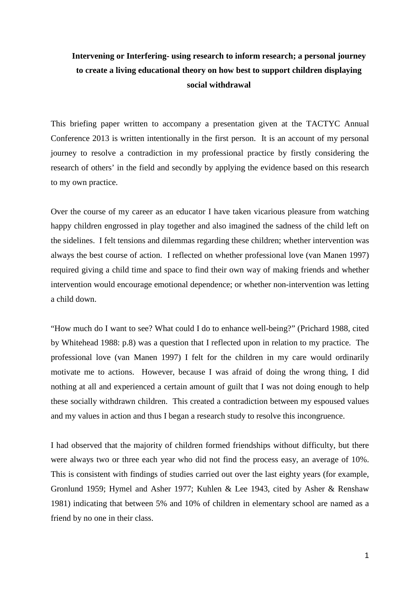## **Intervening or Interfering- using research to inform research; a personal journey to create a living educational theory on how best to support children displaying social withdrawal**

This briefing paper written to accompany a presentation given at the TACTYC Annual Conference 2013 is written intentionally in the first person. It is an account of my personal journey to resolve a contradiction in my professional practice by firstly considering the research of others' in the field and secondly by applying the evidence based on this research to my own practice.

Over the course of my career as an educator I have taken vicarious pleasure from watching happy children engrossed in play together and also imagined the sadness of the child left on the sidelines. I felt tensions and dilemmas regarding these children; whether intervention was always the best course of action. I reflected on whether professional love (van Manen 1997) required giving a child time and space to find their own way of making friends and whether intervention would encourage emotional dependence; or whether non-intervention was letting a child down.

"How much do I want to see? What could I do to enhance well-being?" (Prichard 1988, cited by Whitehead 1988: p.8) was a question that I reflected upon in relation to my practice. The professional love (van Manen 1997) I felt for the children in my care would ordinarily motivate me to actions. However, because I was afraid of doing the wrong thing, I did nothing at all and experienced a certain amount of guilt that I was not doing enough to help these socially withdrawn children. This created a contradiction between my espoused values and my values in action and thus I began a research study to resolve this incongruence.

I had observed that the majority of children formed friendships without difficulty, but there were always two or three each year who did not find the process easy, an average of 10%. This is consistent with findings of studies carried out over the last eighty years (for example, Gronlund 1959; Hymel and Asher 1977; Kuhlen & Lee 1943, cited by Asher & Renshaw 1981) indicating that between 5% and 10% of children in elementary school are named as a friend by no one in their class.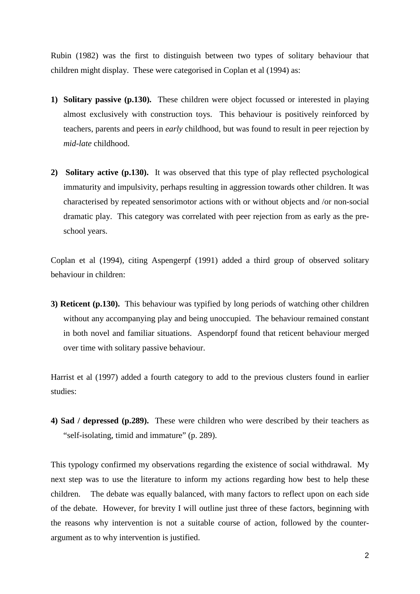Rubin (1982) was the first to distinguish between two types of solitary behaviour that children might display. These were categorised in Coplan et al (1994) as:

- **1) Solitary passive (p.130).** These children were object focussed or interested in playing almost exclusively with construction toys. This behaviour is positively reinforced by teachers, parents and peers in *early* childhood, but was found to result in peer rejection by *mid-late* childhood.
- **2) Solitary active (p.130).** It was observed that this type of play reflected psychological immaturity and impulsivity, perhaps resulting in aggression towards other children. It was characterised by repeated sensorimotor actions with or without objects and /or non-social dramatic play. This category was correlated with peer rejection from as early as the preschool years.

Coplan et al (1994), citing Aspengerpf (1991) added a third group of observed solitary behaviour in children:

**3) Reticent (p.130).** This behaviour was typified by long periods of watching other children without any accompanying play and being unoccupied. The behaviour remained constant in both novel and familiar situations. Aspendorpf found that reticent behaviour merged over time with solitary passive behaviour.

Harrist et al (1997) added a fourth category to add to the previous clusters found in earlier studies:

**4) Sad / depressed (p.289).** These were children who were described by their teachers as "self-isolating, timid and immature" (p. 289).

This typology confirmed my observations regarding the existence of social withdrawal. My next step was to use the literature to inform my actions regarding how best to help these children. The debate was equally balanced, with many factors to reflect upon on each side of the debate. However, for brevity I will outline just three of these factors, beginning with the reasons why intervention is not a suitable course of action, followed by the counterargument as to why intervention is justified.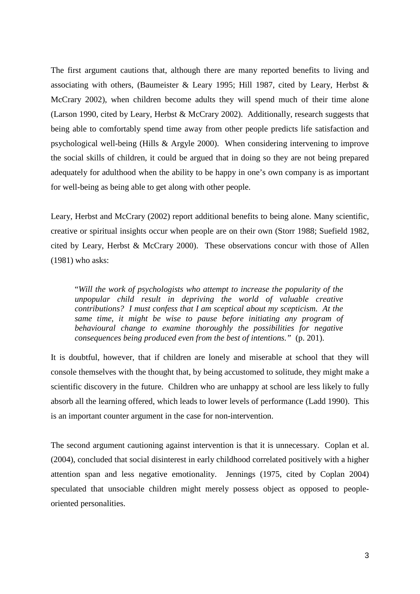The first argument cautions that, although there are many reported benefits to living and associating with others, (Baumeister & Leary 1995; Hill 1987, cited by Leary, Herbst & McCrary 2002), when children become adults they will spend much of their time alone (Larson 1990, cited by Leary, Herbst & McCrary 2002). Additionally, research suggests that being able to comfortably spend time away from other people predicts life satisfaction and psychological well-being (Hills & Argyle 2000). When considering intervening to improve the social skills of children, it could be argued that in doing so they are not being prepared adequately for adulthood when the ability to be happy in one's own company is as important for well-being as being able to get along with other people.

Leary, Herbst and McCrary (2002) report additional benefits to being alone. Many scientific, creative or spiritual insights occur when people are on their own (Storr 1988; Suefield 1982, cited by Leary, Herbst & McCrary 2000). These observations concur with those of Allen (1981) who asks:

"*Will the work of psychologists who attempt to increase the popularity of the unpopular child result in depriving the world of valuable creative contributions? I must confess that I am sceptical about my scepticism. At the same time, it might be wise to pause before initiating any program of behavioural change to examine thoroughly the possibilities for negative consequences being produced even from the best of intentions."* (p. 201).

It is doubtful, however, that if children are lonely and miserable at school that they will console themselves with the thought that, by being accustomed to solitude, they might make a scientific discovery in the future. Children who are unhappy at school are less likely to fully absorb all the learning offered, which leads to lower levels of performance (Ladd 1990). This is an important counter argument in the case for non-intervention.

The second argument cautioning against intervention is that it is unnecessary. Coplan et al. (2004), concluded that social disinterest in early childhood correlated positively with a higher attention span and less negative emotionality. Jennings (1975, cited by Coplan 2004) speculated that unsociable children might merely possess object as opposed to peopleoriented personalities.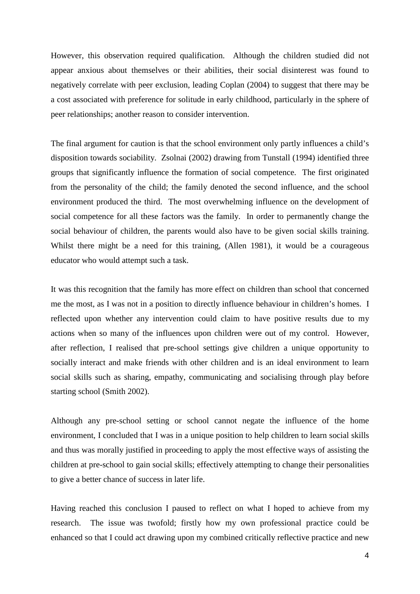However, this observation required qualification. Although the children studied did not appear anxious about themselves or their abilities, their social disinterest was found to negatively correlate with peer exclusion, leading Coplan (2004) to suggest that there may be a cost associated with preference for solitude in early childhood, particularly in the sphere of peer relationships; another reason to consider intervention.

The final argument for caution is that the school environment only partly influences a child's disposition towards sociability. Zsolnai (2002) drawing from Tunstall (1994) identified three groups that significantly influence the formation of social competence. The first originated from the personality of the child; the family denoted the second influence, and the school environment produced the third. The most overwhelming influence on the development of social competence for all these factors was the family. In order to permanently change the social behaviour of children, the parents would also have to be given social skills training. Whilst there might be a need for this training, (Allen 1981), it would be a courageous educator who would attempt such a task.

It was this recognition that the family has more effect on children than school that concerned me the most, as I was not in a position to directly influence behaviour in children's homes. I reflected upon whether any intervention could claim to have positive results due to my actions when so many of the influences upon children were out of my control. However, after reflection, I realised that pre-school settings give children a unique opportunity to socially interact and make friends with other children and is an ideal environment to learn social skills such as sharing, empathy, communicating and socialising through play before starting school (Smith 2002).

Although any pre-school setting or school cannot negate the influence of the home environment, I concluded that I was in a unique position to help children to learn social skills and thus was morally justified in proceeding to apply the most effective ways of assisting the children at pre-school to gain social skills; effectively attempting to change their personalities to give a better chance of success in later life.

Having reached this conclusion I paused to reflect on what I hoped to achieve from my research. The issue was twofold; firstly how my own professional practice could be enhanced so that I could act drawing upon my combined critically reflective practice and new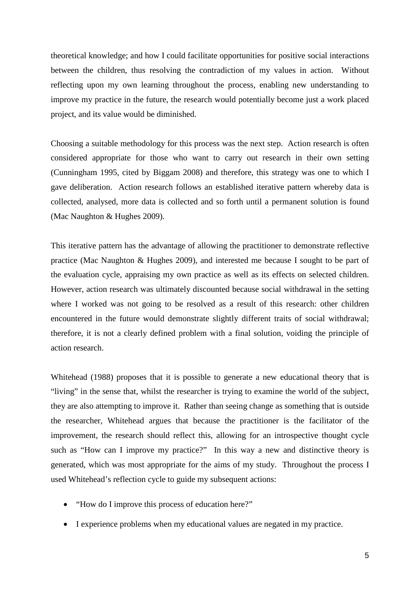theoretical knowledge; and how I could facilitate opportunities for positive social interactions between the children, thus resolving the contradiction of my values in action. Without reflecting upon my own learning throughout the process, enabling new understanding to improve my practice in the future, the research would potentially become just a work placed project, and its value would be diminished.

Choosing a suitable methodology for this process was the next step. Action research is often considered appropriate for those who want to carry out research in their own setting (Cunningham 1995, cited by Biggam 2008) and therefore, this strategy was one to which I gave deliberation. Action research follows an established iterative pattern whereby data is collected, analysed, more data is collected and so forth until a permanent solution is found (Mac Naughton & Hughes 2009).

This iterative pattern has the advantage of allowing the practitioner to demonstrate reflective practice (Mac Naughton & Hughes 2009), and interested me because I sought to be part of the evaluation cycle, appraising my own practice as well as its effects on selected children. However, action research was ultimately discounted because social withdrawal in the setting where I worked was not going to be resolved as a result of this research: other children encountered in the future would demonstrate slightly different traits of social withdrawal; therefore, it is not a clearly defined problem with a final solution, voiding the principle of action research.

Whitehead (1988) proposes that it is possible to generate a new educational theory that is "living" in the sense that, whilst the researcher is trying to examine the world of the subject, they are also attempting to improve it. Rather than seeing change as something that is outside the researcher, Whitehead argues that because the practitioner is the facilitator of the improvement, the research should reflect this, allowing for an introspective thought cycle such as "How can I improve my practice?" In this way a new and distinctive theory is generated, which was most appropriate for the aims of my study. Throughout the process I used Whitehead's reflection cycle to guide my subsequent actions:

- "How do I improve this process of education here?"
- I experience problems when my educational values are negated in my practice.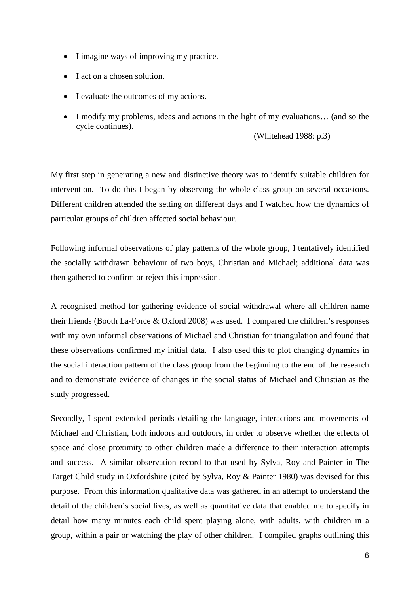- I imagine ways of improving my practice.
- I act on a chosen solution.
- I evaluate the outcomes of my actions.
- I modify my problems, ideas and actions in the light of my evaluations... (and so the cycle continues).

(Whitehead 1988: p.3)

My first step in generating a new and distinctive theory was to identify suitable children for intervention. To do this I began by observing the whole class group on several occasions. Different children attended the setting on different days and I watched how the dynamics of particular groups of children affected social behaviour.

Following informal observations of play patterns of the whole group, I tentatively identified the socially withdrawn behaviour of two boys, Christian and Michael; additional data was then gathered to confirm or reject this impression.

A recognised method for gathering evidence of social withdrawal where all children name their friends (Booth La-Force & Oxford 2008) was used. I compared the children's responses with my own informal observations of Michael and Christian for triangulation and found that these observations confirmed my initial data. I also used this to plot changing dynamics in the social interaction pattern of the class group from the beginning to the end of the research and to demonstrate evidence of changes in the social status of Michael and Christian as the study progressed.

Secondly, I spent extended periods detailing the language, interactions and movements of Michael and Christian, both indoors and outdoors, in order to observe whether the effects of space and close proximity to other children made a difference to their interaction attempts and success. A similar observation record to that used by Sylva, Roy and Painter in The Target Child study in Oxfordshire (cited by Sylva, Roy & Painter 1980) was devised for this purpose. From this information qualitative data was gathered in an attempt to understand the detail of the children's social lives, as well as quantitative data that enabled me to specify in detail how many minutes each child spent playing alone, with adults, with children in a group, within a pair or watching the play of other children. I compiled graphs outlining this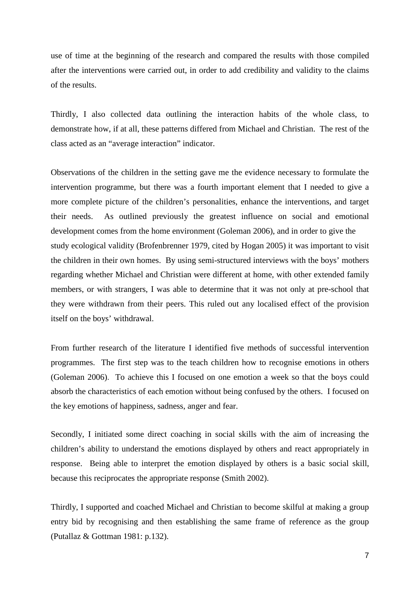use of time at the beginning of the research and compared the results with those compiled after the interventions were carried out, in order to add credibility and validity to the claims of the results.

Thirdly, I also collected data outlining the interaction habits of the whole class, to demonstrate how, if at all, these patterns differed from Michael and Christian. The rest of the class acted as an "average interaction" indicator.

Observations of the children in the setting gave me the evidence necessary to formulate the intervention programme, but there was a fourth important element that I needed to give a more complete picture of the children's personalities, enhance the interventions, and target their needs. As outlined previously the greatest influence on social and emotional development comes from the home environment (Goleman 2006), and in order to give the study ecological validity (Brofenbrenner 1979, cited by Hogan 2005) it was important to visit the children in their own homes. By using semi-structured interviews with the boys' mothers regarding whether Michael and Christian were different at home, with other extended family members, or with strangers, I was able to determine that it was not only at pre-school that they were withdrawn from their peers. This ruled out any localised effect of the provision itself on the boys' withdrawal.

From further research of the literature I identified five methods of successful intervention programmes. The first step was to the teach children how to recognise emotions in others (Goleman 2006). To achieve this I focused on one emotion a week so that the boys could absorb the characteristics of each emotion without being confused by the others. I focused on the key emotions of happiness, sadness, anger and fear.

Secondly, I initiated some direct coaching in social skills with the aim of increasing the children's ability to understand the emotions displayed by others and react appropriately in response. Being able to interpret the emotion displayed by others is a basic social skill, because this reciprocates the appropriate response (Smith 2002).

Thirdly, I supported and coached Michael and Christian to become skilful at making a group entry bid by recognising and then establishing the same frame of reference as the group (Putallaz & Gottman 1981: p.132).